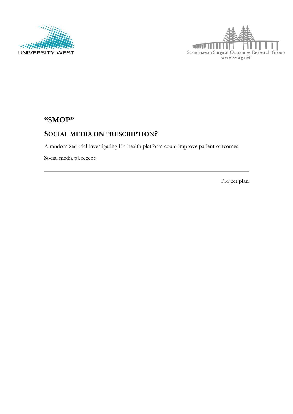



# **"SMOP"**

# **SOCIAL MEDIA ON PRESCRIPTION?**

A randomized trial investigating if a health platform could improve patient outcomes

Social media på recept

Project plan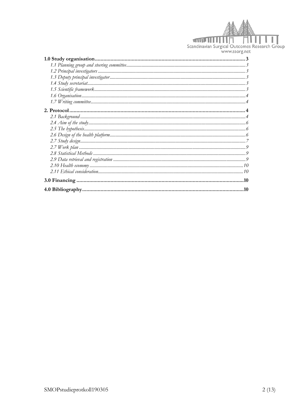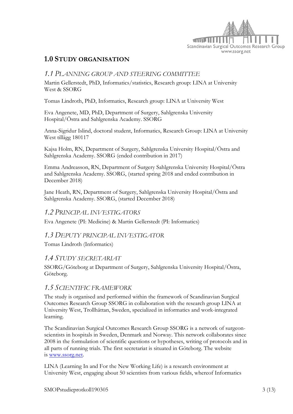

# **1.0 STUDY ORGANISATION**

### *1.1 PLANNING GROUP AND STEERING COMMITTEE*

Martin Gellerstedt, PhD, Informatics/statistics, Research group: LINA at University West & SSORG

Tomas Lindroth, PhD, Informatics, Research group: LINA at University West

Eva Angenete, MD, PhD, Department of Surgery, Sahlgrenska University Hospital/Östra and Sahlgrenska Academy. SSORG

Anna-Sigridur Islind, doctoral student, Informatics, Research Group: LINA at University West tillägg 180117

Kajsa Holm, RN, Department of Surgery, Sahlgrenska University Hospital/Östra and Sahlgrenska Academy. SSORG (ended contribution in 2017)

Emma Andreasson, RN, Department of Surgery Sahlgrenska University Hospital/Östra and Sahlgrenska Academy. SSORG, (started spring 2018 and ended contribution in December 2018)

Jane Heath, RN, Department of Surgery, Sahlgrenska University Hospital/Östra and Sahlgrenska Academy. SSORG, (started December 2018)

### *1.2 PRINCIPAL INVESTIGATORS*

Eva Angenete (PI: Medicine) & Martin Gellerstedt (PI: Informatics)

### *1.3 DEPUTY PRINCIPAL INVESTIGATOR*

Tomas Lindroth (Informatics)

### *1.4 STUDY SECRETARIAT*

SSORG/Göteborg at Department of Surgery, Sahlgrenska University Hospital/Östra, Göteborg.

### *1.5 SCIENTIFIC FRAMEWORK*

The study is organised and performed within the framework of Scandinavian Surgical Outcomes Research Group SSORG in collaboration with the research group LINA at University West, Trollhättan, Sweden, specialized in informatics and work-integrated learning.

The Scandinavian Surgical Outcomes Research Group SSORG is a network of surgeonscientists in hospitals in Sweden, Denmark and Norway. This network collaborates since 2008 in the formulation of scientific questions or hypotheses, writing of protocols and in all parts of running trials. The first secretariat is situated in Göteborg. The website is [www.ssorg.net.](http://www.ssorg.net/)

LINA (Learning In and For the New Working Life) is a research environment at University West, engaging about 50 scientists from various fields, whereof Informatics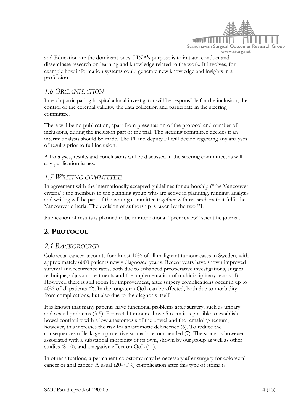

and Education are the dominant ones. LINA's purpose is to initiate, conduct and disseminate research on learning and knowledge related to the work. It involves, for example how information systems could generate new knowledge and insights in a profession.

### *1.6 ORGANISATION*

In each participating hospital a local investigator will be responsible for the inclusion, the control of the external validity, the data collection and participate in the steering committee.

There will be no publication, apart from presentation of the protocol and number of inclusions, during the inclusion part of the trial. The steering committee decides if an interim analysis should be made. The PI and deputy PI will decide regarding any analyses of results prior to full inclusion.

All analyses, results and conclusions will be discussed in the steering committee, as will any publication issues.

# *1.7 WRITING COMMITTEE*

In agreement with the internationally accepted guidelines for authorship ("the Vancouver criteria") the members in the planning group who are active in planning, running, analysis and writing will be part of the writing committee together with researchers that fulfil the Vancouver criteria. The decision of authorship is taken by the two PI.

Publication of results is planned to be in international "peer review" scientific journal.

# **2. PROTOCOL**

### *2.1 BACKGROUND*

Colorectal cancer accounts for almost 10% of all malignant tumour cases in Sweden, with approximately 6000 patients newly diagnosed yearly. Recent years have shown improved survival and recurrence rates, both due to enhanced preoperative investigations, surgical technique, adjuvant treatments and the implementation of multidisciplinary teams [\(1\)](#page-9-0). However, there is still room for improvement, after surgery complications occur in up to 40% of all patients [\(2\)](#page-9-1). In the long-term QoL can be affected, both due to morbidity from complications, but also due to the diagnosis itself.

It is known that many patients have functional problems after surgery, such as urinary and sexual problems [\(3-5\)](#page-9-2). For rectal tumours above 5-6 cm it is possible to establish bowel continuity with a low anastomosis of the bowel and the remaining rectum, however, this increases the risk for anastomotic dehiscence [\(6\)](#page-9-3). To reduce the consequences of leakage a protective stoma is recommended [\(7\)](#page-9-4). The stoma is however associated with a substantial morbidity of its own, shown by our group as well as other studies [\(8-10\)](#page-9-5), and a negative effect on QoL [\(11\)](#page-10-0).

In other situations, a permanent colostomy may be necessary after surgery for colorectal cancer or anal cancer. A usual (20-70%) complication after this type of stoma is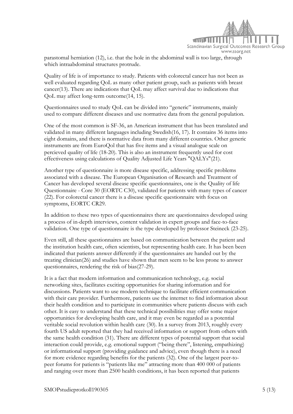

parastomal herniation [\(12\)](#page-10-1), i.e. that the hole in the abdominal wall is too large, through which intraabdominal structures protrude.

Quality of life is of importance to study. Patients with colorectal cancer has not been as well evaluated regarding QoL as many other patient group, such as patients with breast cancer[\(13\)](#page-10-2). There are indications that QoL may affect survival due to indications that QoL may affect long-term outcome[\(14,](#page-10-3) [15\)](#page-10-4).

Questionnaires used to study QoL can be divided into "generic" instruments, mainly used to compare different diseases and use normative data from the general population.

One of the most common is SF-36, an American instrument that has been translated and validated in many different languages including Swedish[\(16,](#page-10-5) [17\)](#page-10-6). It contains 36 items into eight domains, and there is normative data from many different countries. Other generic instruments are from EuroQol that has five items and a visual analogue scale on percieved quality of life [\(18-20\)](#page-10-7). This is also an instrument frequently used for cost effectiveness using calculations of Quality Adjusted Life Years "QALYs"[\(21\)](#page-10-8).

Another type of questionnaire is more disease specific, addressing specific problems associated with a disease. The European Organisation of Research and Treatment of Cancer has developed several disease specific questionnaires, one is the Quality of life Questionnaire - Core 30 (EORTC C30), validated for patients with many types of cancer [\(22\)](#page-10-9). For colorectal cancer there is a disease specific questionnaire with focus on symptoms, EORTC CR29.

In addition to these two types of questionnaires there are questionnaires developed using a process of in-depth interviews, content validation in expert groups and face-to-face validation. One type of questionnaire is the type developed by professor Steineck [\(23-25\)](#page-10-10).

Even still, all these questionnaires are based on communication between the patient and the institution health care, often scientists, but representing health care. It has been been indicated that patients answer differently if the questionnaires are handed out by the treating clinician[\(26\)](#page-11-0) and studies have shown that men seem to be less prone to answer questionnaires, rendering the risk of bias[\(27-29\)](#page-11-1).

It is a fact that modern information and communication technology, e.g. social networking sites, facilitates exciting opportunities for sharing information and for discussions. Patients want to use modern technique to facilitate efficient communication with their care provider. Furthermore, patients use the internet to find information about their health condition and to participate in communities where patients discuss with each other. It is easy to understand that these technical possibilities may offer some major opportunities for developing health care, and it may even be regarded as a potential veritable social revolution within health care (30). In a survey from 2013, roughly every fourth US adult reported that they had received information or support from others with the same health condition (31). There are different types of potential support that social interaction could provide, e.g. emotional support ("being there", listening, empathizing) or informational support (providing guidance and advice), even though there is a need for more evidence regarding benefits for the patients (32). One of the largest peer-topeer forums for patients is "patients like me" attracting more than 400 000 of patients and ranging over more than 2500 health conditions, it has been reported that patients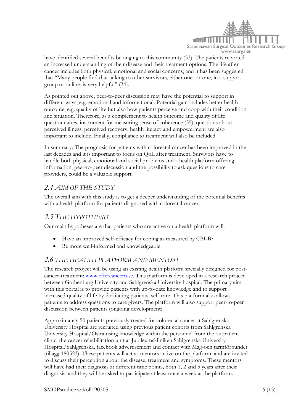

have identified several benefits belonging to this community (33). The patients reported an increased understanding of their disease and their treatment options. The life after cancer includes both physical, emotional and social concerns, and it has been suggested that "Many people find that talking to other survivors, either one-on-one, in a support group or online, is very helpful" (34).

As pointed out above, peer-to-peer discussion may have the potential to support in different ways, e.g. emotional and informational. Potential gain includes better health outcome, e.g. quality of life but also how patients perceive and coop with their condition and situation. Therefore, as a complement to health outcome and quality of life questionnaires, instrument for measuring sense of coherence (35), questions about perceived illness, perceived recovery, health literacy and empowerment are also important to include. Finally, compliance to treatment will also be included.

In summary: The prognosis for patients with colorectal cancer has been improved in the last decades and it is important to focus on QoL after treatment. Survivors have to handle both physical, emotional and social problems and a health platform offering information, peer-to-peer discussion and the possibility to ask questions to care providers, could be a valuable support.

### *2.4 AIM OF THE STUDY*

The overall aim with this study is to get a deeper understanding of the potential benefits with a health platform for patients diagnosed with colorectal cancer.

### *2.5 THE HYPOTHESIS*

Our main hypotheses are that patients who are active on a health platform will:

- Have an improved self-efficacy for coping as measured by CBI-B?
- Be more well-informed and knowledgeable

### *2.6 THE HEALTH PLATFORM AND MENTORS*

The research project will be using an existing health platform specially designed for postcancer-treatment: [www.eftercancern.se.](http://www.eftercancern.se/) This platform is developed in a research project between Gothenburg University and Sahlgrenska University hospital. The primary aim with this portal is to provide patients with up-to-date knowledge and to support increased quality of life by facilitating patients' self-care. This platform also allows patients to address questions to care givers. The platform will also support peer-to-peer discussion between patients (ongoing development).

Approximately 50 patients previously treated for colorectal cancer at Sahlgrenska University Hospital are recruited using previous patient cohorts from Sahlgrenska University Hospital/Östra using knowledge within the personnel from the outpatient clinic, the cancer rehabilitation unit at Jubileumskliniken Sahlgrenska University Hospital/Sahlgrenska, facebook advertisement and contact with Mag-och tarmförbundet (tillägg 180523). These patients will act as mentors active on the platform, and are invited to discuss their perception about the disease, treatment and symptoms. These mentors will have had their diagnosis at different time points, both 1, 2 and 5 years after their diagnosis, and they will be asked to participate at least once a week at the platform.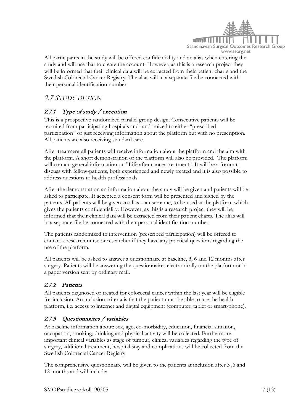

All participants in the study will be offered confidentiality and an alias when entering the study and will use that to create the account. However, as this is a research project they will be informed that their clinical data will be extracted from their patient charts and the Swedish Colorectal Cancer Registry. The alias will in a separate file be connected with their personal identification number.

# *2.7 STUDY DESIGN*

# 2.7.1 Type of study / execution

This is a prospective randomized parallel group design. Consecutive patients will be recruited from participating hospitals and randomized to either "prescribed participation" or just receiving information about the platform but with no prescription. All patients are also receiving standard care.

After treatment all patients will receive information about the platform and the aim with the platform. A short demonstration of the platform will also be provided. The platform will contain general information on "Life after cancer treatment". It will be a forum to discuss with fellow-patients, both experienced and newly treated and it is also possible to address questions to health professionals.

After the demonstration an information about the study will be given and patients will be asked to participate. If accepted a consent form will be presented and signed by the patients. All patients will be given an alias – a username, to be used at the platform which gives the patients confidentiality. However, as this is a research project they will be informed that their clinical data will be extracted from their patient charts. The alias will in a separate file be connected with their personal identification number.

The patients randomized to intervention (prescribed participation) will be offered to contact a research nurse or researcher if they have any practical questions regarding the use of the platform.

All patients will be asked to answer a questionnaire at baseline, 3, 6 and 12 months after surgery. Patients will be answering the questionnaires electronically on the platform or in a paper version sent by ordinary mail.

### 2.7.2 Patients

All patients diagnosed or treated for colorectal cancer within the last year will be eligible for inclusion. An inclusion criteria is that the patient must be able to use the health platform, i.e. access to internet and digital equipment (computer, tablet or smart-phone).

# 2.7.3 Questionnaires / variables

At baseline information about: sex, age, co-morbidity, education, financial situation, occupation, smoking, drinking and physical activity will be collected. Furthermore, important clinical variables as stage of tumour, clinical variables regarding the type of surgery, additional treatment, hospital stay and complications will be collected from the Swedish Colorectal Cancer Registry

The comprehensive questionnaire will be given to the patients at inclusion after 3 ,6 and 12 months and will include: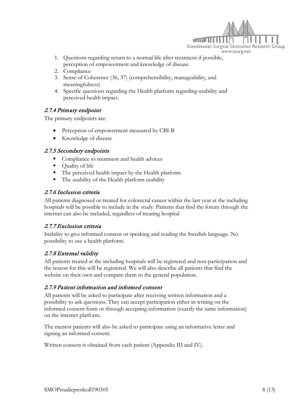

- 1. Questions regarding return to a normal life after treatment if possible, perception of empowerment and knowledge of disease.
- 2. Compliance
- 3. Sense of Coherence [\(36,](#page-11-2) [37\)](#page-12-0) (comprehensibility, manageability, and meaningfulness)
- 4. Specific questions regarding the Health platform regarding usability and perceived health impact.

### 2.7.4 Primary endpoint

The primary endpoints are:

- Perception of empowerment measured by CBI-B
- Knowledge of disease

#### 2.7.5 Secondary endpoints

- Compliance to treatment and health advices
- Ouality of life
- The perceived health impact by the Health platform
- The usability of the Health platform usability

#### 2.7.6 Inclusion criteria

All patients diagnosed or treated for colorectal cancer within the last year at the including hospitals will be possible to include in the study. Patients that find the forum through the internet can also be included, regardless of treating hospital

### 2.7.7 Exclusion criteria

Inability to give informed consent or speaking and reading the Swedish language. No possibility to use a health platform.

### 2.7.8 External validity

All patients treated at the including hospitals will be registered and non-participation and the reason for this will be registered. We will also describe all patients that find the website on their own and compare them to the general population.

### 2.7.9 Patient information and informed consent

All patients will be asked to participate after receiving written information and a possibility to ask questions. They can accept participation either in writing on the informed consent form or through accepting information (exactly the same information) on the internet platform.

The mentor patients will also be asked to participate using an informative letter and signing an informed consent.

Written consent is obtained from each patient (Appendix III and IV).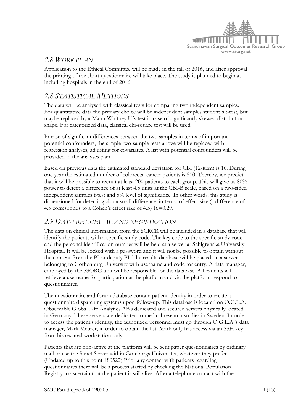

### *2.8 WORK PLAN*

Application to the Ethical Committee will be made in the fall of 2016, and after approval the printing of the short questionnaire will take place. The study is planned to begin at including hospitals in the end of 2016.

### *2.8 STATISTICAL METHODS*

The data will be analysed with classical tests for comparing two independent samples. For quantitative data the primary choice will be independent samples student´s t-test, but maybe replaced by a Mann-Whitney U´s test in case of significantly skewed distribution shape. For categorized data, classical chi-square test will be used.

In case of significant differences between the two samples in terms of important potential confounders, the simple two-sample tests above will be replaced with regression analyses, adjusting for covariates. A list with potential confounders will be provided in the analyses plan.

Based on previous data the estimated standard deviation for CBI (12-item) is 16. During one year the estimated number of colorectal cancer patients is 500. Thereby, we predict that it will be possible to recruit at least 200 patients to each group. This will give us 80% power to detect a difference of at least 4.5 units at the CBI-B scale, based on a two-sided independent samples t-test and 5% level of significance. In other words, this study is dimensioned for detecting also a small difference, in terms of effect size (a difference of 4.5 corresponds to a Cohen's effect size of 4.5/16=0.29.

### *2.9 DATA RETRIEVAL AND REGISTRATION*

The data on clinical information from the SCRCR will be included in a database that will identify the patients with a specific study code. The key code to the specific study code and the personal identification number will be held at a server at Sahlgrenska University Hospital. It will be locked with a password and it will not be possible to obtain without the consent from the PI or deputy PI. The results database will be placed on a server belonging to Gothenburg University with username and code for entry. A data manager, employed by the SSORG unit will be responsible for the database. All patients will retrieve a username for participation at the platform and via the platform respond to questionnaires.

The questionnaire and forum database contain patient identity in order to create a questionnaire dispatching systems upon follow-up. This database is located on O.G.L.A. Observable Global Life Analytics AB's dedicated and secured servers physically located in Germany. These servers are dedicated to medical research studies in Sweden. In order to access the patient's identity, the authorized personnel must go through O.G.L.A.'s data manager, Mark Meurer, in order to obtain the list. Mark only has access via an SSH key from his secured workstation only.

Patients that are non-active at the platform will be sent paper questionnaires by ordinary mail or use the Sunet Server within Göteborgs Universitet, whatever they prefer. (Updated up to this point 180522) Prior any contact with patients regarding questionnaires there will be a process started by checking the National Population Registry to ascertain that the patient is still alive. After a telephone contact with the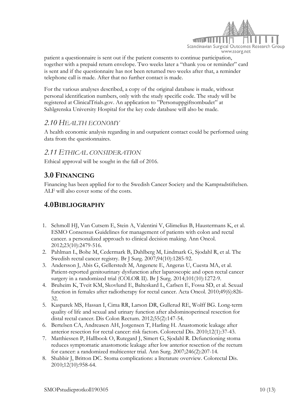

patient a questionnaire is sent out if the patient consents to continue participation, together with a prepaid return envelope. Two weeks later a "thank you or reminder" card is sent and if the questionnaire has not been returned two weeks after that, a reminder telephone call is made. After that no further contact is made.

For the various analyses described, a copy of the original database is made, without personal identification numbers, only with the study specific code. The study will be registered at ClinicalTrials.gov. An application to "Personuppgiftsombudet" at Sahlgrenska University Hospital for the key code database will also be made.

### *2.10 HEALTH ECONOMY*

A health economic analysis regarding in and outpatient contact could be performed using data from the questionnaires.

### *2.11 ETHICAL CONSIDERATION*

Ethical approval will be sought in the fall of 2016.

# **3.0 FINANCING**

Financing has been applied for to the Swedish Cancer Society and the Kampradstiftelsen. ALF will also cover some of the costs.

# **4.0BIBLIOGRAPHY**

- <span id="page-9-0"></span>1. Schmoll HJ, Van Cutsem E, Stein A, Valentini V, Glimelius B, Haustermans K, et al. ESMO Consensus Guidelines for management of patients with colon and rectal cancer. a personalized approach to clinical decision making. Ann Oncol. 2012;23(10):2479-516.
- <span id="page-9-2"></span><span id="page-9-1"></span>2. Pahlman L, Bohe M, Cedermark B, Dahlberg M, Lindmark G, Sjodahl R, et al. The Swedish rectal cancer registry. Br J Surg. 2007;94(10):1285-92.
- 3. Andersson J, Abis G, Gellerstedt M, Angenete E, Angeras U, Cuesta MA, et al. Patient-reported genitourinary dysfunction after laparoscopic and open rectal cancer surgery in a randomized trial (COLOR II). Br J Surg. 2014;101(10):1272-9.
- 4. Bruheim K, Tveit KM, Skovlund E, Balteskard L, Carlsen E, Fossa SD, et al. Sexual function in females after radiotherapy for rectal cancer. Acta Oncol. 2010;49(6):826- 32.
- 5. Kasparek MS, Hassan I, Cima RR, Larson DR, Gullerud RE, Wolff BG. Long-term quality of life and sexual and urinary function after abdominoperineal resection for distal rectal cancer. Dis Colon Rectum. 2012;55(2):147-54.
- <span id="page-9-4"></span><span id="page-9-3"></span>6. Bertelsen CA, Andreasen AH, Jorgensen T, Harling H. Anastomotic leakage after anterior resection for rectal cancer: risk factors. Colorectal Dis. 2010;12(1):37-43.
- 7. Matthiessen P, Hallbook O, Rutegard J, Simert G, Sjodahl R. Defunctioning stoma reduces symptomatic anastomotic leakage after low anterior resection of the rectum for cancer: a randomized multicenter trial. Ann Surg. 2007;246(2):207-14.
- <span id="page-9-5"></span>8. Shabbir J, Britton DC. Stoma complications: a literature overview. Colorectal Dis. 2010;12(10):958-64.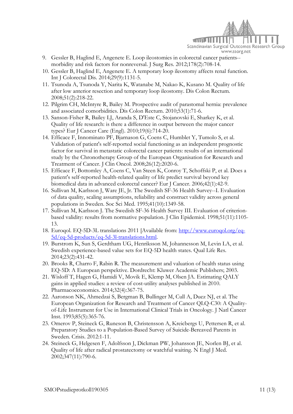<span id="page-10-5"></span><span id="page-10-3"></span><span id="page-10-2"></span><span id="page-10-0"></span>

- 9. Gessler B, Haglind E, Angenete E. Loop ileostomies in colorectal cancer patients- morbidity and risk factors for nonreversal. J Surg Res. 2012;178(2):708-14.
- 10. Gessler B, Haglind E, Angenete E. A temporary loop ileostomy affects renal function. Int J Colorectal Dis. 2014;29(9):1131-5.
- 11. Tsunoda A, Tsunoda Y, Narita K, Watanabe M, Nakao K, Kusano M. Quality of life after low anterior resection and temporary loop ileostomy. Dis Colon Rectum. 2008;51(2):218-22.
- <span id="page-10-1"></span>12. Pilgrim CH, McIntyre R, Bailey M. Prospective audit of parastomal hernia: prevalence and associated comorbidities. Dis Colon Rectum. 2010;53(1):71-6.
- 13. Sanson-Fisher R, Bailey LJ, Aranda S, D'Este C, Stojanovski E, Sharkey K, et al. Quality of life research: is there a difference in output between the major cancer types? Eur J Cancer Care (Engl). 2010;19(6):714-20.
- 14. Efficace F, Innominato PF, Bjarnason G, Coens C, Humblet Y, Tumolo S, et al. Validation of patient's self-reported social functioning as an independent prognostic factor for survival in metastatic colorectal cancer patients: results of an international study by the Chronotherapy Group of the European Organisation for Research and Treatment of Cancer. J Clin Oncol. 2008;26(12):2020-6.
- <span id="page-10-4"></span>15. Efficace F, Bottomley A, Coens C, Van Steen K, Conroy T, Schoffski P, et al. Does a patient's self-reported health-related quality of life predict survival beyond key biomedical data in advanced colorectal cancer? Eur J Cancer. 2006;42(1):42-9.
- 16. Sullivan M, Karlsson J, Ware JE, Jr. The Swedish SF-36 Health Survey--I. Evaluation of data quality, scaling assumptions, reliability and construct validity across general populations in Sweden. Soc Sci Med. 1995;41(10):1349-58.
- <span id="page-10-6"></span>17. Sullivan M, Karlsson J. The Swedish SF-36 Health Survey III. Evaluation of criterionbased validity: results from normative population. J Clin Epidemiol. 1998;51(11):1105- 13.
- <span id="page-10-7"></span>18. Euroqol. EQ-5D-3L translations 2011 [Available from: [http://www.euroqol.org/eq-](http://www.euroqol.org/eq-5d/eq-5d-products/eq-5d-3l-translations.html)[5d/eq-5d-products/eq-5d-3l-translations.html.](http://www.euroqol.org/eq-5d/eq-5d-products/eq-5d-3l-translations.html)
- 19. Burstrom K, Sun S, Gerdtham UG, Henriksson M, Johannesson M, Levin LA, et al. Swedish experience-based value sets for EQ-5D health states. Qual Life Res. 2014;23(2):431-42.
- <span id="page-10-8"></span>20. Brooks R, Charro F, Rabin R. The measurement and valuation of health status using EQ-5D: A European perspektive. Dordrecht: Kluwer Academic Publishers; 2003.
- 21. Wisloff T, Hagen G, Hamidi V, Movik E, Klemp M, Olsen JA. Estimating QALY gains in applied studies: a review of cost-utility analyses published in 2010. Pharmacoeconomics. 2014;32(4):367-75.
- <span id="page-10-9"></span>22. Aaronson NK, Ahmedzai S, Bergman B, Bullinger M, Cull A, Duez NJ, et al. The European Organization for Research and Treatment of Cancer QLQ-C30: A Qualityof-Life Instrument for Use in International Clinical Trials in Oncology. J Natl Cancer Inst. 1993;85(5):365-76.
- <span id="page-10-10"></span>23. Omerov P, Steineck G, Runeson B, Christensson A, Kreicbergs U, Pettersen R, et al. Preparatory Studies to a Population-Based Survey of Suicide-Bereaved Parents in Sweden. Crisis. 2012:1-11.
- 24. Steineck G, Helgesen F, Adolfsson J, Dickman PW, Johansson JE, Norlen BJ, et al. Quality of life after radical prostatectomy or watchful waiting. N Engl J Med. 2002;347(11):790-6.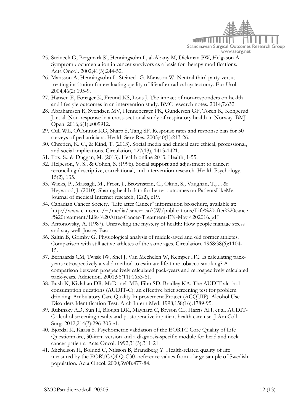

- 25. Steineck G, Bergmark K, Henningsohn L, al-Abany M, Dickman PW, Helgason A. Symptom documentation in cancer survivors as a basis for therapy modifications. Acta Oncol. 2002;41(3):244-52.
- <span id="page-11-0"></span>26. Mansson A, Henningsohn L, Steineck G, Mansson W. Neutral third party versus treating institution for evaluating quality of life after radical cystectomy. Eur Urol. 2004;46(2):195-9.
- <span id="page-11-1"></span>27. Hansen E, Fonager K, Freund KS, Lous J. The impact of non-responders on health and lifestyle outcomes in an intervention study. BMC research notes. 2014;7:632.
- 28. Abrahamsen R, Svendsen MV, Henneberger PK, Gundersen GF, Toren K, Kongerud J, et al. Non-response in a cross-sectional study of respiratory health in Norway. BMJ Open. 2016;6(1):e009912.
- 29. Cull WL, O'Connor KG, Sharp S, Tang SF. Response rates and response bias for 50 surveys of pediatricians. Health Serv Res. 2005;40(1):213-26.
- 30. Chretien, K. C., & Kind, T. (2013). Social media and clinical care ethical, professional, and social implications. Circulation, 127(13), 1413-1421.
- 31. Fox, S., & Duggan, M. (2013). Health online 2013. Health, 1-55.
- 32. Helgeson, V. S., & Cohen, S. (1996). Social support and adjustment to cancer: reconciling descriptive, correlational, and intervention research. Health Psychology, 15(2), 135.
- 33. Wicks, P., Massagli, M., Frost, J., Brownstein, C., Okun, S., Vaughan, T., ... & Heywood, J. (2010). Sharing health data for better outcomes on PatientsLikeMe. Journal of medical Internet research, 12(2), e19.
- 34. Canadian Cancer Society. "Life after Cancer" information broschure, available at: http://www.cancer.ca/~/media/cancer.ca/CW/publications/Life%20after%20cance r%20treatment/Life-%20After-Cancer-Treatment-EN-May%202016.pdf
- 35. Antonovsky, A. (1987). Unraveling the mystery of health: How people manage stress and stay well. Jossey-Bass.
- 36. Saltin B, Grimby G. Physiological analysis of middle-aged and old former athletes. Comparison with still active athletes of the same ages. Circulation. 1968;38(6):1104- 15.
- 37. Bernaards CM, Twisk JW, Snel J, Van Mechelen W, Kemper HC. Is calculating packyears retrospectively a valid method to estimate life-time tobacco smoking? A comparison between prospectively calculated pack-years and retrospectively calculated pack-years. Addiction. 2001;96(11):1653-61.
- 38. Bush K, Kivlahan DR, McDonell MB, Fihn SD, Bradley KA. The AUDIT alcohol consumption questions (AUDIT-C): an effective brief screening test for problem drinking. Ambulatory Care Quality Improvement Project (ACQUIP). Alcohol Use Disorders Identification Test. Arch Intern Med. 1998;158(16):1789-95.
- 39. Rubinsky AD, Sun H, Blough DK, Maynard C, Bryson CL, Harris AH, et al. AUDIT-C alcohol screening results and postoperative inpatient health care use. J Am Coll Surg. 2012;214(3):296-305 e1.
- 40. Bjordal K, Kaasa S. Psychometric validation of the EORTC Core Quality of Life Questionnaire, 30-item version and a diagnosis-specific module for head and neck cancer patients. Acta Oncol. 1992;31(3):311-21.
- <span id="page-11-2"></span>41. Michelson H, Bolund C, Nilsson B, Brandberg Y. Health-related quality of life measured by the EORTC QLQ-C30--reference values from a large sample of Swedish population. Acta Oncol. 2000;39(4):477-84.